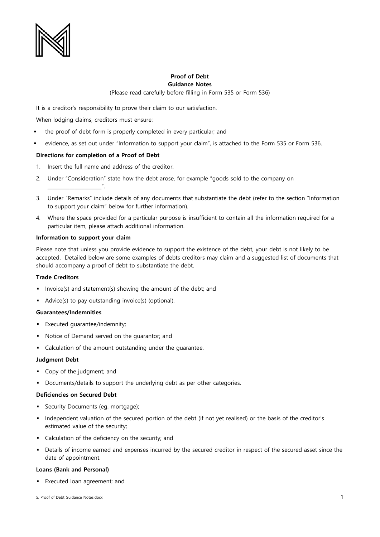

# **Proof of Debt Guidance Notes**

(Please read carefully before filling in Form 535 or Form 536)

It is a creditor's responsibility to prove their claim to our satisfaction.

When lodging claims, creditors must ensure:

- the proof of debt form is properly completed in every particular; and
- evidence, as set out under "Information to support your claim", is attached to the Form 535 or Form 536.

# **Directions for completion of a Proof of Debt**

- 1. Insert the full name and address of the creditor.
- 2. Under "Consideration" state how the debt arose, for example "goods sold to the company on
- 3. Under "Remarks" include details of any documents that substantiate the debt (refer to the section "Information to support your claim" below for further information).
- 4. Where the space provided for a particular purpose is insufficient to contain all the information required for a particular item, please attach additional information.

### **Information to support your claim**

\_\_\_\_\_\_\_\_\_\_\_\_\_\_\_\_\_\_\_\_\_\_".

Please note that unless you provide evidence to support the existence of the debt, your debt is not likely to be accepted. Detailed below are some examples of debts creditors may claim and a suggested list of documents that should accompany a proof of debt to substantiate the debt.

### **Trade Creditors**

- **Invoice(s) and statement(s) showing the amount of the debt; and**
- Advice(s) to pay outstanding invoice(s) (optional).

# **Guarantees/Indemnities**

- **Executed quarantee/indemnity;**
- Notice of Demand served on the guarantor; and
- Calculation of the amount outstanding under the guarantee.

### **Judgment Debt**

- Copy of the judgment; and
- Documents/details to support the underlying debt as per other categories.

### **Deficiencies on Secured Debt**

- Security Documents (eg. mortgage);
- Independent valuation of the secured portion of the debt (if not yet realised) or the basis of the creditor's estimated value of the security;
- Calculation of the deficiency on the security; and
- Details of income earned and expenses incurred by the secured creditor in respect of the secured asset since the date of appointment.

### **Loans (Bank and Personal)**

Executed loan agreement; and

```
5. Proof of Debt Guidance Notes.docx 1
```